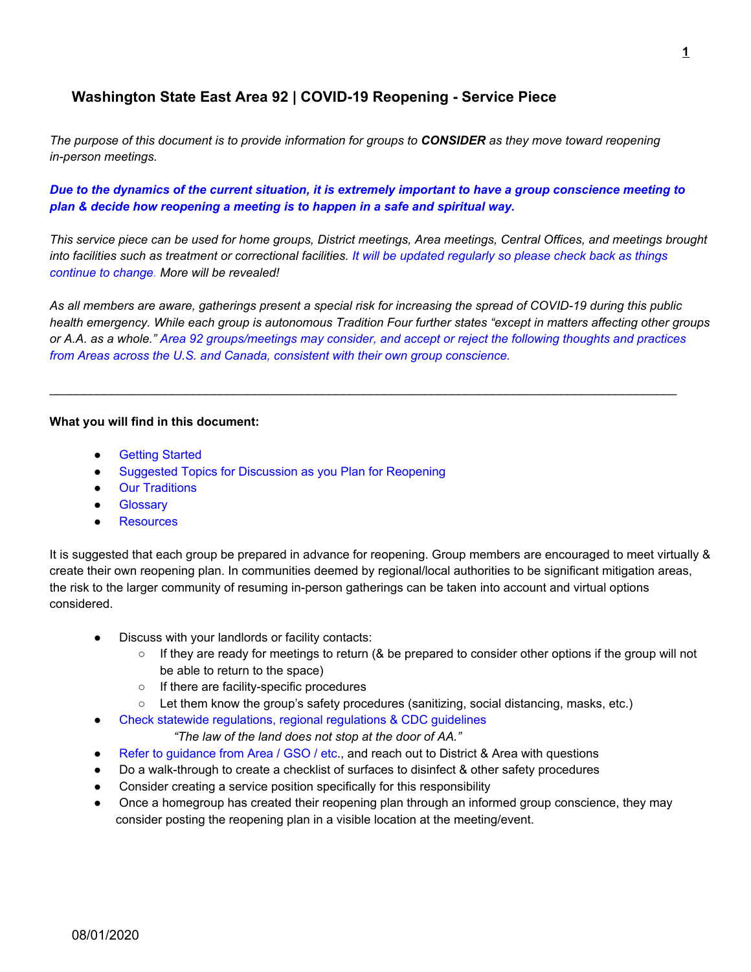# **Washington State East Area 92 | COVID-19 Reopening - Service Piece**

The purpose of this document is to provide information for groups to CONSIDER as they move toward reopening *in-person meetings.*

Due to the dynamics of the current situation, it is extremely important to have a group conscience meeting to *plan & decide how reopening a meeting is to happen in a safe and spiritual way.*

This service piece can be used for home groups, District meetings, Area meetings, Central Offices, and meetings brought into facilities such as treatment or correctional facilities. It will be updated regularly so please check back as things *continue to change. More will be revealed!*

As all members are aware, gatherings present a special risk for increasing the spread of COVID-19 during this public health emergency. While each group is autonomous Tradition Four further states "except in matters affecting other groups or A.A. as a whole." Area 92 groups/meetings may consider, and accept or reject the following thoughts and practices *from Areas across the U.S. and Canada, consistent with their own group conscience.*

 $\_$  ,  $\_$  ,  $\_$  ,  $\_$  ,  $\_$  ,  $\_$  ,  $\_$  ,  $\_$  ,  $\_$  ,  $\_$  ,  $\_$  ,  $\_$  ,  $\_$  ,  $\_$  ,  $\_$  ,  $\_$  ,  $\_$  ,  $\_$  ,  $\_$  ,  $\_$  ,  $\_$  ,  $\_$  ,  $\_$  ,  $\_$  ,  $\_$  ,  $\_$  ,  $\_$  ,  $\_$  ,  $\_$  ,  $\_$  ,  $\_$  ,  $\_$  ,  $\_$  ,  $\_$  ,  $\_$  ,  $\_$  ,  $\_$  ,

#### **What you will find in this document:**

- Getting Started
- Suggested Topics for Discussion as you Plan for Reopening
- Our Traditions
- **Glossary**
- Resources

It is suggested that each group be prepared in advance for reopening. Group members are encouraged to meet virtually & create their own reopening plan. In communities deemed by regional/local authorities to be significant mitigation areas, the risk to the larger community of resuming in-person gatherings can be taken into account and virtual options considered.

- Discuss with your landlords or facility contacts:
	- If they are ready for meetings to return (& be prepared to consider other options if the group will not be able to return to the space)
	- If there are facility-specific procedures
	- Let them know the group's safety procedures (sanitizing, social distancing, masks, etc.)
- Check statewide regulations, regional regulations & CDC guidelines

*"The law of the land does not stop at the door of AA."*

- Refer to guidance from Area / GSO / etc., and reach out to District & Area with questions
- Do a walk-through to create a checklist of surfaces to disinfect & other safety procedures
- Consider creating a service position specifically for this responsibility
- Once a homegroup has created their reopening plan through an informed group conscience, they may consider posting the reopening plan in a visible location at the meeting/event.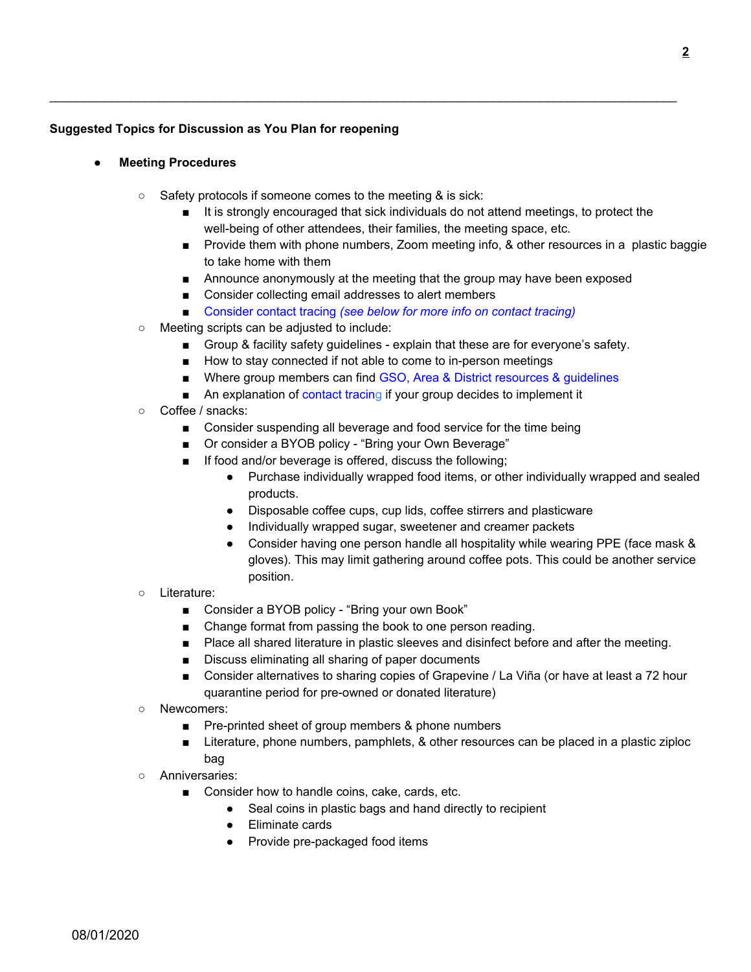## **Suggested Topics for Discussion as You Plan for reopening**

- **● Meeting Procedures**
	- Safety protocols if someone comes to the meeting & is sick:
		- It is strongly encouraged that sick individuals do not attend meetings, to protect the well-being of other attendees, their families, the meeting space, etc.
		- Provide them with phone numbers, Zoom meeting info, & other resources in a plastic baggie to take home with them
		- Announce anonymously at the meeting that the group may have been exposed
		- Consider collecting email addresses to alert members
		- Consider contact tracing *(see below for more info on contact tracing)*

 $\_$  ,  $\_$  ,  $\_$  ,  $\_$  ,  $\_$  ,  $\_$  ,  $\_$  ,  $\_$  ,  $\_$  ,  $\_$  ,  $\_$  ,  $\_$  ,  $\_$  ,  $\_$  ,  $\_$  ,  $\_$  ,  $\_$  ,  $\_$  ,  $\_$  ,  $\_$  ,  $\_$  ,  $\_$  ,  $\_$  ,  $\_$  ,  $\_$  ,  $\_$  ,  $\_$  ,  $\_$  ,  $\_$  ,  $\_$  ,  $\_$  ,  $\_$  ,  $\_$  ,  $\_$  ,  $\_$  ,  $\_$  ,  $\_$  ,

- Meeting scripts can be adjusted to include:
	- Group & facility safety guidelines explain that these are for everyone's safety.
	- How to stay connected if not able to come to in-person meetings
	- Where group members can find GSO, Area & District resources & guidelines
	- An explanation of contact tracing if your group decides to implement it
- Coffee / snacks:
	- Consider suspending all beverage and food service for the time being
	- Or consider a BYOB policy "Bring your Own Beverage"
	- If food and/or beverage is offered, discuss the following;
		- Purchase individually wrapped food items, or other individually wrapped and sealed products.
		- Disposable coffee cups, cup lids, coffee stirrers and plasticware
		- Individually wrapped sugar, sweetener and creamer packets
		- Consider having one person handle all hospitality while wearing PPE (face mask & gloves). This may limit gathering around coffee pots. This could be another service position.
- Literature:
	- Consider a BYOB policy "Bring your own Book"
	- Change format from passing the book to one person reading.
	- Place all shared literature in plastic sleeves and disinfect before and after the meeting.
	- Discuss eliminating all sharing of paper documents
	- Consider alternatives to sharing copies of Grapevine / La Viña (or have at least a 72 hour quarantine period for pre-owned or donated literature)
- Newcomers:
	- Pre-printed sheet of group members & phone numbers
	- Literature, phone numbers, pamphlets, & other resources can be placed in a plastic ziploc bag
- Anniversaries:
	- Consider how to handle coins, cake, cards, etc.
		- Seal coins in plastic bags and hand directly to recipient
		- Eliminate cards
		- Provide pre-packaged food items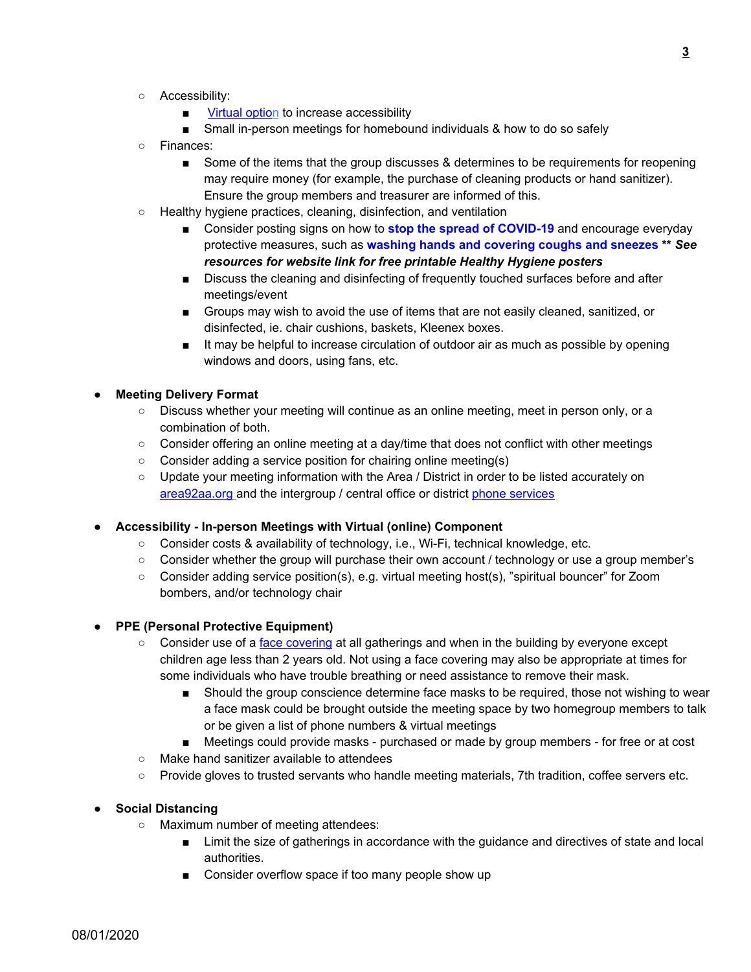- Accessibility:
	- Virtual option to increase accessibility
	- Small in-person meetings for homebound individuals & how to do so safely
- Finances:
	- Some of the items that the group discusses & determines to be requirements for reopening may require money (for example, the purchase of cleaning products or hand sanitizer). Ensure the group members and treasurer are informed of this.
- Healthy hygiene practices, cleaning, disinfection, and ventilation
	- Consider posting signs on how to **stop the spread of COVID-19** and encourage everyday protective measures, such as **washing hands and covering coughs and sneezes \*\*** *See resources for website link for free printable Healthy Hygiene posters*
	- Discuss the cleaning and disinfecting of frequently touched surfaces before and after meetings/event
	- Groups may wish to avoid the use of items that are not easily cleaned, sanitized, or disinfected, ie. chair cushions, baskets, Kleenex boxes.
	- It may be helpful to increase circulation of outdoor air as much as possible by opening windows and doors, using fans, etc.

## **● Meeting Delivery Format**

- Discuss whether your meeting will continue as an online meeting, meet in person only, or a combination of both.
- Consider offering an online meeting at a day/time that does not conflict with other meetings
- Consider adding a service position for chairing online meeting(s)
- Update your meeting information with the Area / District in order to be listed accurately on area92aa.org and the intergroup / central office or district phone services

#### **● Accessibility - In-person Meetings with Virtual (online) Component**

- Consider costs & availability of technology, i.e., Wi-Fi, technical knowledge, etc.
- Consider whether the group will purchase their own account / technology or use a group member's
- Consider adding service position(s), e.g. virtual meeting host(s), "spiritual bouncer" for Zoom bombers, and/or technology chair

#### **● PPE (Personal Protective Equipment)**

- Consider use of a face covering at all gatherings and when in the building by everyone except children age less than 2 years old. Not using a face covering may also be appropriate at times for some individuals who have trouble breathing or need assistance to remove their mask.
	- Should the group conscience determine face masks to be required, those not wishing to wear a face mask could be brought outside the meeting space by two homegroup members to talk or be given a list of phone numbers & virtual meetings
	- Meetings could provide masks purchased or made by group members for free or at cost
- Make hand sanitizer available to attendees
- Provide gloves to trusted servants who handle meeting materials, 7th tradition, coffee servers etc.

#### **● Social Distancing**

- Maximum number of meeting attendees:
	- Limit the size of gatherings in accordance with the guidance and directives of state and local authorities.
	- Consider overflow space if too many people show up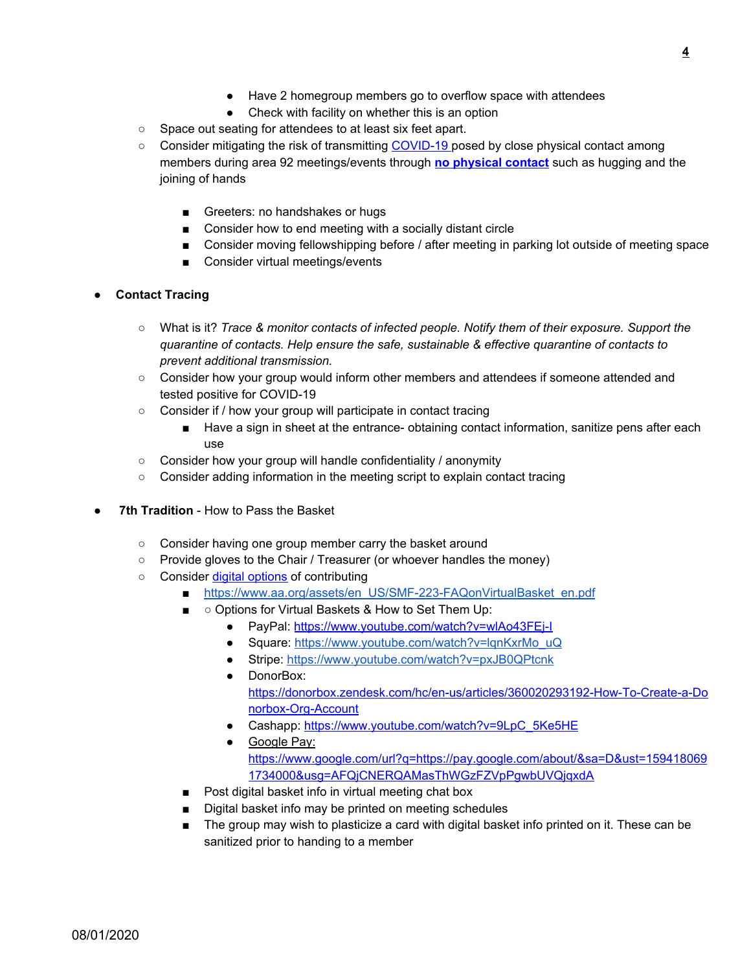- Have 2 homegroup members go to overflow space with attendees
- Check with facility on whether this is an option
- Space out seating for attendees to at least six feet apart.
- Consider mitigating the risk of transmitting COVID-19 posed by close physical contact among members during area 92 meetings/events through **no physical contact** such as hugging and the joining of hands
	- Greeters: no handshakes or hugs
	- Consider how to end meeting with a socially distant circle
	- Consider moving fellowshipping before / after meeting in parking lot outside of meeting space
	- Consider virtual meetings/events

#### **● Contact Tracing**

- What is it? *Trace & monitor contacts of infected people. Notify them of their exposure. Support the quarantine of contacts. Help ensure the safe, sustainable & effective quarantine of contacts to prevent additional transmission.*
- Consider how your group would inform other members and attendees if someone attended and tested positive for COVID-19
- Consider if / how your group will participate in contact tracing
	- Have a sign in sheet at the entrance- obtaining contact information, sanitize pens after each use
- Consider how your group will handle confidentiality / anonymity
- Consider adding information in the meeting script to explain contact tracing
- **7th Tradition** How to Pass the Basket
	- Consider having one group member carry the basket around
	- Provide gloves to the Chair / Treasurer (or whoever handles the money)
	- Consider digital options of contributing
		- [https://www.aa.org/assets/en\\_US/SMF-223-FAQonVirtualBasket\\_en.pdf](https://www.aa.org/assets/en_US/SMF-223-FAQonVirtualBasket_en.pdf)
		- ○ Options for Virtual Baskets & How to Set Them Up:
			- PayPal: https://www.youtube.com/watch?v=wlAo43FEj-I
			- Square: [https://www.youtube.com/watch?v=lqnKxrMo\\_uQ](https://www.youtube.com/watch?v=lqnKxrMo_uQ)
			- Stripe: <https://www.youtube.com/watch?v=pxJB0QPtcnk>
			- DonorBox: https://donorbox.zendesk.com/hc/en-us/articles/360020293192-How-To-Create-a-Do norbox-Org-Account
			- Cashapp: [https://www.youtube.com/watch?v=9LpC\\_5Ke5HE](https://www.youtube.com/watch?v=9LpC_5Ke5HE)
			- Google Pay: https://www.google.com/url?q=https://pay.google.com/about/&sa=D&ust=159418069 1734000&usg=AFQjCNERQAMasThWGzFZVpPgwbUVQjqxdA
		- Post digital basket info in virtual meeting chat box
		- Digital basket info may be printed on meeting schedules
		- The group may wish to plasticize a card with digital basket info printed on it. These can be sanitized prior to handing to a member